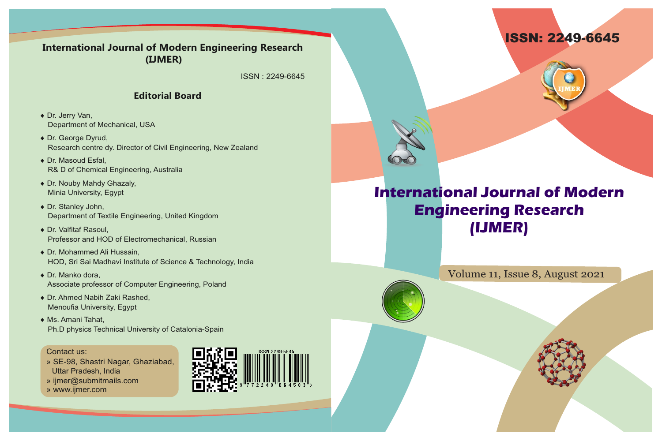



## **International Journal of Modern Engineering Research (IJMER)**

Volume 11, Issue 8, August 2021

### **International Journal of Modern Engineering Research (IJMER)**

ISSN : 2249-6645

### **Editorial Board**

- ◆ Dr. Jerry Van, Department of Mechanical, USA
- ◆ Dr. George Dyrud, Research centre dy. Director of Civil Engineering, New Zealand
- ◆ Dr. Masoud Esfal, R& D of Chemical Engineering, Australia
- ◆ Dr. Nouby Mahdy Ghazaly, Minia University, Egypt
- ◆ Dr. Stanley John, Department of Textile Engineering, United Kingdom
- ◆ Dr. Valfitaf Rasoul, Professor and HOD of Electromechanical, Russian
- ◆ Dr. Mohammed Ali Hussain, HOD, Sri Sai Madhavi Institute of Science & Technology, India
- $\bullet$  Dr. Manko dora, Associate professor of Computer Engineering, Poland
- ◆ Dr. Ahmed Nabih Zaki Rashed, Menoufia University, Egypt
- ◆ Ms. Amani Tahat, Ph.D physics Technical University of Catalonia-Spain

#### Contact us:

- » SE-98, Shastri Nagar, Ghaziabad, Uttar Pradesh, India
- » ijmer@submitmails.com
- » www.ijmer.com